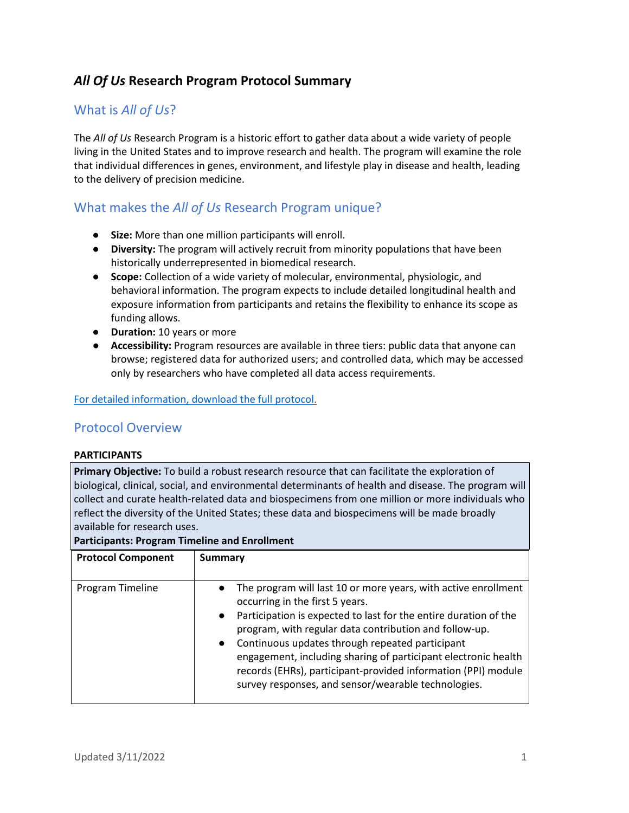# *All Of Us* **Research Program Protocol Summary**

## What is *All of Us*?

The *All of Us* Research Program is a historic effort to gather data about a wide variety of people living in the United States and to improve research and health. The program will examine the role that individual differences in genes, environment, and lifestyle play in disease and health, leading to the delivery of precision medicine.

### What makes the *All of Us* Research Program unique?

- **Size:** More than one million participants will enroll.
- **Diversity:** The program will actively recruit from minority populations that have been historically underrepresented in biomedical research.
- **Scope:** Collection of a wide variety of molecular, environmental, physiologic, and behavioral information. The program expects to include detailed longitudinal health and exposure information from participants and retains the flexibility to enhance its scope as funding allows.
- **Duration:** 10 years or more
- **Accessibility:** Program resources are available in three tiers: public data that anyone can browse; registered data for authorized users; and controlled data, which may be accessed only by researchers who have completed all data access requirements.

### [For detailed information, download the full protocol.](https://allofus.nih.gov/sites/default/files/AOU_Core_Protocol_Redacted_Dec_2021.pdf)

### Protocol Overview

### **PARTICIPANTS**

**Primary Objective:** To build a robust research resource that can facilitate the exploration of biological, clinical, social, and environmental determinants of health and disease. The program will collect and curate health-related data and biospecimens from one million or more individuals who reflect the diversity of the United States; these data and biospecimens will be made broadly available for research uses.

#### **Participants: Program Timeline and Enrollment**

| <b>Protocol Component</b> | <b>Summary</b>                                                                                                                                                                                                                                                                                                                                                                                                                                                                                                      |
|---------------------------|---------------------------------------------------------------------------------------------------------------------------------------------------------------------------------------------------------------------------------------------------------------------------------------------------------------------------------------------------------------------------------------------------------------------------------------------------------------------------------------------------------------------|
| Program Timeline          | The program will last 10 or more years, with active enrollment<br>$\bullet$<br>occurring in the first 5 years.<br>Participation is expected to last for the entire duration of the<br>$\bullet$<br>program, with regular data contribution and follow-up.<br>Continuous updates through repeated participant<br>$\bullet$<br>engagement, including sharing of participant electronic health<br>records (EHRs), participant-provided information (PPI) module<br>survey responses, and sensor/wearable technologies. |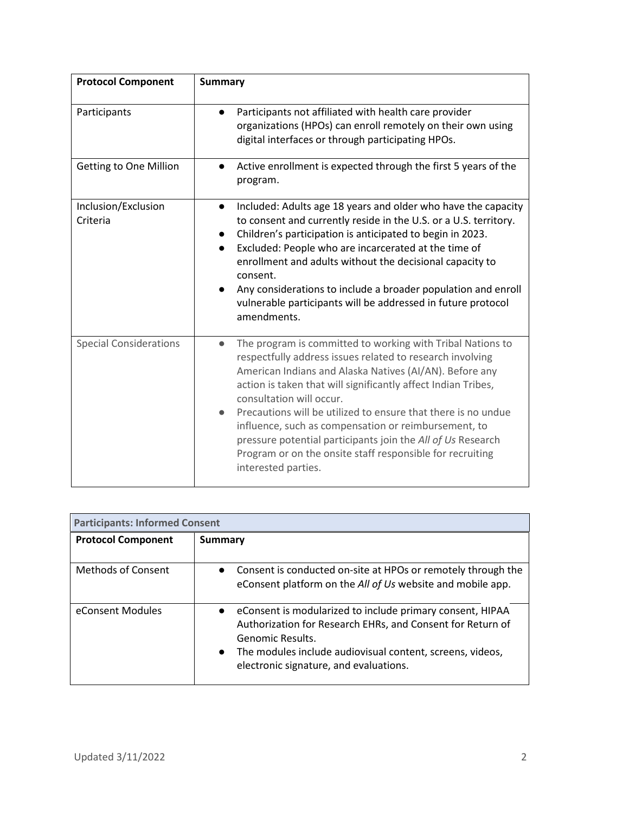| <b>Protocol Component</b>       | <b>Summary</b>                                                                                                                                                                                                                                                                                                                                                                                                                                                                                                                                                           |
|---------------------------------|--------------------------------------------------------------------------------------------------------------------------------------------------------------------------------------------------------------------------------------------------------------------------------------------------------------------------------------------------------------------------------------------------------------------------------------------------------------------------------------------------------------------------------------------------------------------------|
| Participants                    | Participants not affiliated with health care provider<br>$\bullet$<br>organizations (HPOs) can enroll remotely on their own using<br>digital interfaces or through participating HPOs.                                                                                                                                                                                                                                                                                                                                                                                   |
| Getting to One Million          | Active enrollment is expected through the first 5 years of the<br>$\bullet$<br>program.                                                                                                                                                                                                                                                                                                                                                                                                                                                                                  |
| Inclusion/Exclusion<br>Criteria | Included: Adults age 18 years and older who have the capacity<br>$\bullet$<br>to consent and currently reside in the U.S. or a U.S. territory.<br>Children's participation is anticipated to begin in 2023.<br>Excluded: People who are incarcerated at the time of<br>$\bullet$<br>enrollment and adults without the decisional capacity to<br>consent.<br>Any considerations to include a broader population and enroll<br>vulnerable participants will be addressed in future protocol<br>amendments.                                                                 |
| <b>Special Considerations</b>   | The program is committed to working with Tribal Nations to<br>$\bullet$<br>respectfully address issues related to research involving<br>American Indians and Alaska Natives (AI/AN). Before any<br>action is taken that will significantly affect Indian Tribes,<br>consultation will occur.<br>Precautions will be utilized to ensure that there is no undue<br>influence, such as compensation or reimbursement, to<br>pressure potential participants join the All of Us Research<br>Program or on the onsite staff responsible for recruiting<br>interested parties. |

| <b>Participants: Informed Consent</b> |                                                                                                                                                                                                                                                                   |
|---------------------------------------|-------------------------------------------------------------------------------------------------------------------------------------------------------------------------------------------------------------------------------------------------------------------|
| <b>Protocol Component</b>             | Summary                                                                                                                                                                                                                                                           |
| <b>Methods of Consent</b>             | • Consent is conducted on-site at HPOs or remotely through the<br>eConsent platform on the All of Us website and mobile app.                                                                                                                                      |
| eConsent Modules                      | • eConsent is modularized to include primary consent, HIPAA<br>Authorization for Research EHRs, and Consent for Return of<br>Genomic Results.<br>The modules include audiovisual content, screens, videos,<br>$\bullet$<br>electronic signature, and evaluations. |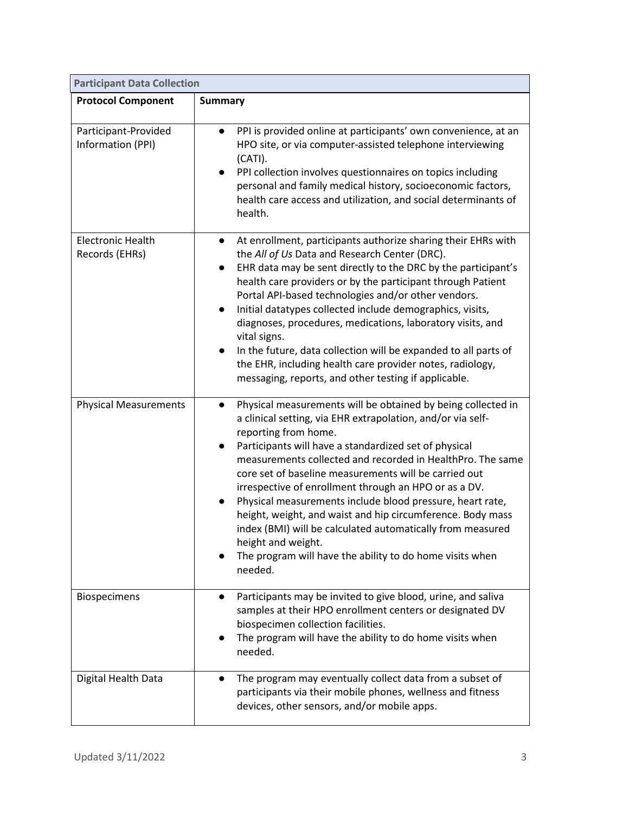| <b>Participant Data Collection</b>         |                                                                                                                                                                                                                                                                                                                                                                                                                                                                                                                                                                                                                                                                                                 |
|--------------------------------------------|-------------------------------------------------------------------------------------------------------------------------------------------------------------------------------------------------------------------------------------------------------------------------------------------------------------------------------------------------------------------------------------------------------------------------------------------------------------------------------------------------------------------------------------------------------------------------------------------------------------------------------------------------------------------------------------------------|
| <b>Protocol Component</b>                  | <b>Summary</b>                                                                                                                                                                                                                                                                                                                                                                                                                                                                                                                                                                                                                                                                                  |
| Participant-Provided<br>Information (PPI)  | PPI is provided online at participants' own convenience, at an<br>$\bullet$<br>HPO site, or via computer-assisted telephone interviewing<br>(CATI).<br>PPI collection involves questionnaires on topics including<br>$\bullet$<br>personal and family medical history, socioeconomic factors,<br>health care access and utilization, and social determinants of<br>health.                                                                                                                                                                                                                                                                                                                      |
| <b>Electronic Health</b><br>Records (EHRs) | At enrollment, participants authorize sharing their EHRs with<br>$\bullet$<br>the All of Us Data and Research Center (DRC).<br>EHR data may be sent directly to the DRC by the participant's<br>$\bullet$<br>health care providers or by the participant through Patient<br>Portal API-based technologies and/or other vendors.<br>Initial datatypes collected include demographics, visits,<br>diagnoses, procedures, medications, laboratory visits, and<br>vital signs.<br>In the future, data collection will be expanded to all parts of<br>the EHR, including health care provider notes, radiology,<br>messaging, reports, and other testing if applicable.                              |
| <b>Physical Measurements</b>               | Physical measurements will be obtained by being collected in<br>$\bullet$<br>a clinical setting, via EHR extrapolation, and/or via self-<br>reporting from home.<br>Participants will have a standardized set of physical<br>measurements collected and recorded in HealthPro. The same<br>core set of baseline measurements will be carried out<br>irrespective of enrollment through an HPO or as a DV.<br>Physical measurements include blood pressure, heart rate,<br>height, weight, and waist and hip circumference. Body mass<br>index (BMI) will be calculated automatically from measured<br>height and weight.<br>The program will have the ability to do home visits when<br>needed. |
| <b>Biospecimens</b>                        | Participants may be invited to give blood, urine, and saliva<br>$\bullet$<br>samples at their HPO enrollment centers or designated DV<br>biospecimen collection facilities.<br>The program will have the ability to do home visits when<br>needed.                                                                                                                                                                                                                                                                                                                                                                                                                                              |
| Digital Health Data                        | The program may eventually collect data from a subset of<br>participants via their mobile phones, wellness and fitness<br>devices, other sensors, and/or mobile apps.                                                                                                                                                                                                                                                                                                                                                                                                                                                                                                                           |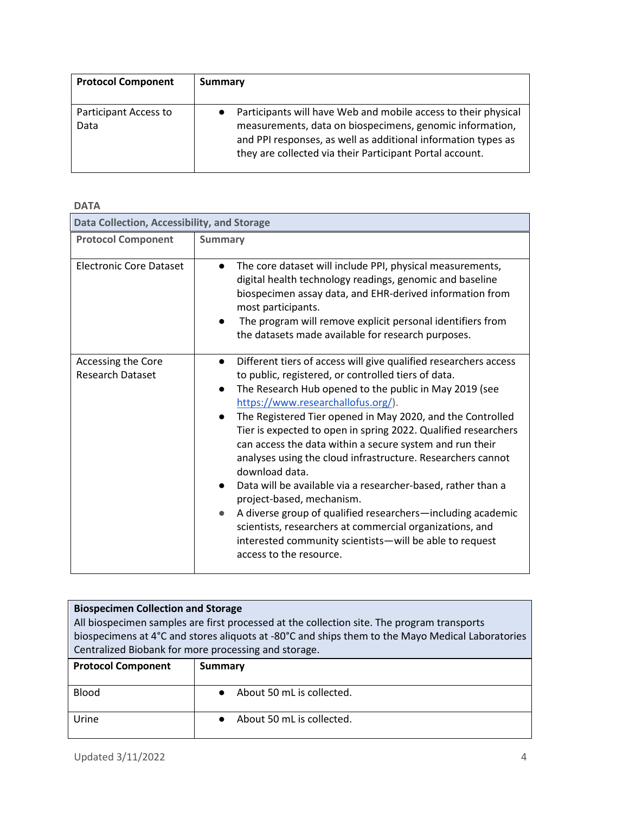| <b>Protocol Component</b>     | <b>Summary</b>                                                                                                                                                                                                                                          |
|-------------------------------|---------------------------------------------------------------------------------------------------------------------------------------------------------------------------------------------------------------------------------------------------------|
| Participant Access to<br>Data | Participants will have Web and mobile access to their physical<br>measurements, data on biospecimens, genomic information,<br>and PPI responses, as well as additional information types as<br>they are collected via their Participant Portal account. |

| <b>DATA</b>                                   |                                                                                                                                                                                                                                                                                                                                                                                                                                                                                                                                                                                                                                                                                                                                                                                                                                 |  |
|-----------------------------------------------|---------------------------------------------------------------------------------------------------------------------------------------------------------------------------------------------------------------------------------------------------------------------------------------------------------------------------------------------------------------------------------------------------------------------------------------------------------------------------------------------------------------------------------------------------------------------------------------------------------------------------------------------------------------------------------------------------------------------------------------------------------------------------------------------------------------------------------|--|
| Data Collection, Accessibility, and Storage   |                                                                                                                                                                                                                                                                                                                                                                                                                                                                                                                                                                                                                                                                                                                                                                                                                                 |  |
| <b>Protocol Component</b>                     | <b>Summary</b>                                                                                                                                                                                                                                                                                                                                                                                                                                                                                                                                                                                                                                                                                                                                                                                                                  |  |
| <b>Electronic Core Dataset</b>                | The core dataset will include PPI, physical measurements,<br>digital health technology readings, genomic and baseline<br>biospecimen assay data, and EHR-derived information from<br>most participants.<br>The program will remove explicit personal identifiers from<br>the datasets made available for research purposes.                                                                                                                                                                                                                                                                                                                                                                                                                                                                                                     |  |
| Accessing the Core<br><b>Research Dataset</b> | Different tiers of access will give qualified researchers access<br>$\bullet$<br>to public, registered, or controlled tiers of data.<br>The Research Hub opened to the public in May 2019 (see<br>https://www.researchallofus.org/).<br>The Registered Tier opened in May 2020, and the Controlled<br>Tier is expected to open in spring 2022. Qualified researchers<br>can access the data within a secure system and run their<br>analyses using the cloud infrastructure. Researchers cannot<br>download data.<br>Data will be available via a researcher-based, rather than a<br>project-based, mechanism.<br>A diverse group of qualified researchers—including academic<br>scientists, researchers at commercial organizations, and<br>interested community scientists-will be able to request<br>access to the resource. |  |

| <b>Biospecimen Collection and Storage</b><br>All biospecimen samples are first processed at the collection site. The program transports<br>biospecimens at 4°C and stores aliguots at -80°C and ships them to the Mayo Medical Laboratories<br>Centralized Biobank for more processing and storage. |                                        |
|-----------------------------------------------------------------------------------------------------------------------------------------------------------------------------------------------------------------------------------------------------------------------------------------------------|----------------------------------------|
| <b>Protocol Component</b>                                                                                                                                                                                                                                                                           | Summary                                |
| <b>Blood</b>                                                                                                                                                                                                                                                                                        | About 50 mL is collected.<br>$\bullet$ |
| Urine                                                                                                                                                                                                                                                                                               | About 50 mL is collected.              |